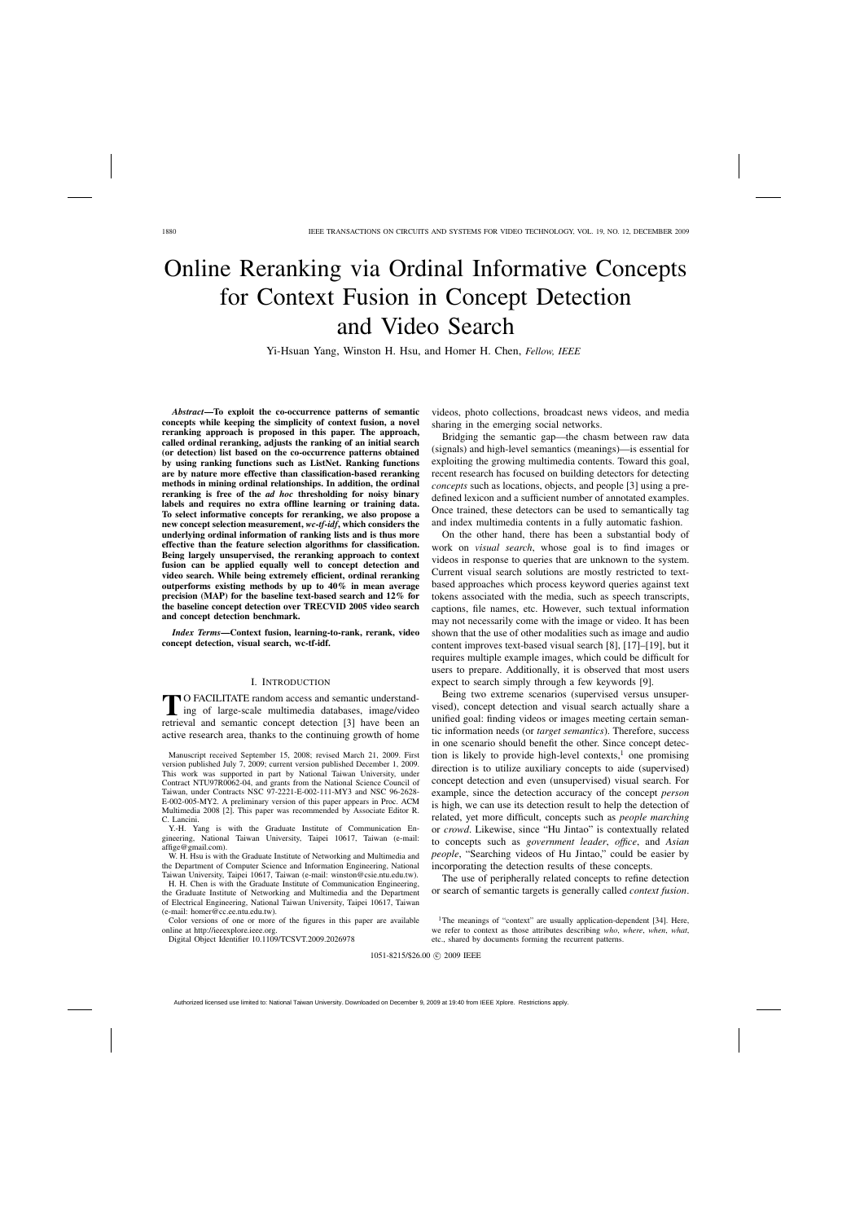# Online Reranking via Ordinal Informative Concepts for Context Fusion in Concept Detection and Video Search

Yi-Hsuan Yang, Winston H. Hsu, and Homer H. Chen, *Fellow, IEEE*

*Abstract***—To exploit the co-occurrence patterns of semantic concepts while keeping the simplicity of context fusion, a novel reranking approach is proposed in this paper. The approach, called ordinal reranking, adjusts the ranking of an initial search (or detection) list based on the co-occurrence patterns obtained by using ranking functions such as ListNet. Ranking functions are by nature more effective than classification-based reranking methods in mining ordinal relationships. In addition, the ordinal reranking is free of the** *ad hoc* **thresholding for noisy binary labels and requires no extra offline learning or training data. To select informative concepts for reranking, we also propose a new concept selection measurement,** *wc-tf-idf***, which considers the underlying ordinal information of ranking lists and is thus more effective than the feature selection algorithms for classification. Being largely unsupervised, the reranking approach to context fusion can be applied equally well to concept detection and video search. While being extremely efficient, ordinal reranking outperforms existing methods by up to 40% in mean average precision (MAP) for the baseline text-based search and 12% for the baseline concept detection over TRECVID 2005 video search and concept detection benchmark.**

*Index Terms***—Context fusion, learning-to-rank, rerank, video concept detection, visual search, wc-tf-idf.**

# I. Introduction

**T** O FACILITATE random access and semantic understanding of large-scale multimedia databases, image/video retrieval and semantic concept detection [3] have been an active research area, thanks to the continuing growth of home

Manuscript received September 15, 2008; revised March 21, 2009. First version published July 7, 2009; current version published December 1, 2009. This work was supported in part by National Taiwan University, under Contract NTU97R0062-04, and grants from the National Science Council of Taiwan, under Contracts NSC 97-2221-E-002-111-MY3 and NSC 96-2628- E-002-005-MY2. A preliminary version of this paper appears in Proc. ACM Multimedia 2008 [2]. This paper was recommended by Associate Editor R. C. Lancini.

Y.-H. Yang is with the Graduate Institute of Communication Engineering, National Taiwan University, Taipei 10617, Taiwan (e-mail: affige@gmail.com).

W. H. Hsu is with the Graduate Institute of Networking and Multimedia and the Department of Computer Science and Information Engineering, National Taiwan University, Taipei 10617, Taiwan (e-mail: winston@csie.ntu.edu.tw).

H. H. Chen is with the Graduate Institute of Communication Engineering, the Graduate Institute of Networking and Multimedia and the Department of Electrical Engineering, National Taiwan University, Taipei 10617, Taiwan (e-mail: homer@cc.ee.ntu.edu.tw).

Color versions of one or more of the figures in this paper are available online at http://ieeexplore.ieee.org.

Digital Object Identifier 10.1109/TCSVT.2009.2026978

videos, photo collections, broadcast news videos, and media sharing in the emerging social networks.

Bridging the semantic gap—the chasm between raw data (signals) and high-level semantics (meanings)—is essential for exploiting the growing multimedia contents. Toward this goal, recent research has focused on building detectors for detecting *concepts* such as locations, objects, and people [3] using a predefined lexicon and a sufficient number of annotated examples. Once trained, these detectors can be used to semantically tag and index multimedia contents in a fully automatic fashion.

On the other hand, there has been a substantial body of work on *visual search*, whose goal is to find images or videos in response to queries that are unknown to the system. Current visual search solutions are mostly restricted to textbased approaches which process keyword queries against text tokens associated with the media, such as speech transcripts, captions, file names, etc. However, such textual information may not necessarily come with the image or video. It has been shown that the use of other modalities such as image and audio content improves text-based visual search [8], [17]–[19], but it requires multiple example images, which could be difficult for users to prepare. Additionally, it is observed that most users expect to search simply through a few keywords [9].

Being two extreme scenarios (supervised versus unsupervised), concept detection and visual search actually share a unified goal: finding videos or images meeting certain semantic information needs (or *target semantics*). Therefore, success in one scenario should benefit the other. Since concept detection is likely to provide high-level contexts, $<sup>1</sup>$  one promising</sup> direction is to utilize auxiliary concepts to aide (supervised) concept detection and even (unsupervised) visual search. For example, since the detection accuracy of the concept *person* is high, we can use its detection result to help the detection of related, yet more difficult, concepts such as *people marching* or *crowd*. Likewise, since "Hu Jintao" is contextually related to concepts such as *government leader*, *office*, and *Asian people*, "Searching videos of Hu Jintao," could be easier by incorporating the detection results of these concepts.

The use of peripherally related concepts to refine detection or search of semantic targets is generally called *context fusion*.

<sup>1</sup>The meanings of "context" are usually application-dependent [34]. Here, we refer to context as those attributes describing *who*, *where*, *when*, *what*, etc., shared by documents forming the recurrent patterns.

1051-8215/\$26.00 C 2009 IEEE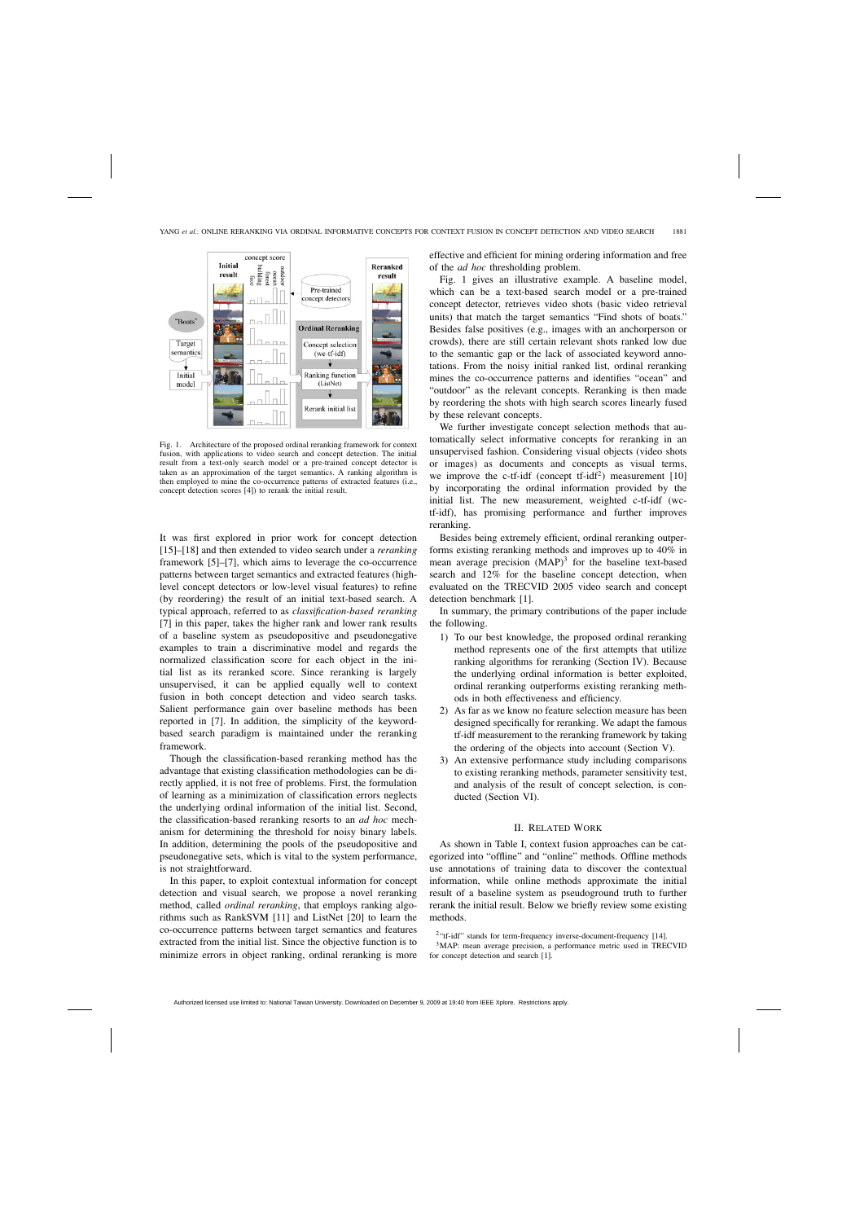

Fig. 1. Architecture of the proposed ordinal reranking framework for context fusion, with applications to video search and concept detection. The initial result from a text-only search model or a pre-trained concept detector is taken as an approximation of the target semantics. A ranking algorithm is then employed to mine the co-occurrence patterns of extracted features (i.e., concept detection scores [4]) to rerank the initial result.

It was first explored in prior work for concept detection [15]–[18] and then extended to video search under a *reranking* framework [5]–[7], which aims to leverage the co-occurrence patterns between target semantics and extracted features (highlevel concept detectors or low-level visual features) to refine (by reordering) the result of an initial text-based search. A typical approach, referred to as *classification-based reranking* [7] in this paper, takes the higher rank and lower rank results of a baseline system as pseudopositive and pseudonegative examples to train a discriminative model and regards the normalized classification score for each object in the initial list as its reranked score. Since reranking is largely unsupervised, it can be applied equally well to context fusion in both concept detection and video search tasks. Salient performance gain over baseline methods has been reported in [7]. In addition, the simplicity of the keywordbased search paradigm is maintained under the reranking framework.

Though the classification-based reranking method has the advantage that existing classification methodologies can be directly applied, it is not free of problems. First, the formulation of learning as a minimization of classification errors neglects the underlying ordinal information of the initial list. Second, the classification-based reranking resorts to an *ad hoc* mechanism for determining the threshold for noisy binary labels. In addition, determining the pools of the pseudopositive and pseudonegative sets, which is vital to the system performance, is not straightforward.

In this paper, to exploit contextual information for concept detection and visual search, we propose a novel reranking method, called *ordinal reranking*, that employs ranking algorithms such as RankSVM [11] and ListNet [20] to learn the co-occurrence patterns between target semantics and features extracted from the initial list. Since the objective function is to minimize errors in object ranking, ordinal reranking is more effective and efficient for mining ordering information and free of the *ad hoc* thresholding problem.

Fig. 1 gives an illustrative example. A baseline model, which can be a text-based search model or a pre-trained concept detector, retrieves video shots (basic video retrieval units) that match the target semantics "Find shots of boats." Besides false positives (e.g., images with an anchorperson or crowds), there are still certain relevant shots ranked low due to the semantic gap or the lack of associated keyword annotations. From the noisy initial ranked list, ordinal reranking mines the co-occurrence patterns and identifies "ocean" and "outdoor" as the relevant concepts. Reranking is then made by reordering the shots with high search scores linearly fused by these relevant concepts.

We further investigate concept selection methods that automatically select informative concepts for reranking in an unsupervised fashion. Considering visual objects (video shots or images) as documents and concepts as visual terms, we improve the c-tf-idf (concept tf-idf<sup>2</sup>) measurement  $[10]$ by incorporating the ordinal information provided by the initial list. The new measurement, weighted c-tf-idf (wctf-idf), has promising performance and further improves reranking.

Besides being extremely efficient, ordinal reranking outperforms existing reranking methods and improves up to 40% in mean average precision  $(MAP)^3$  for the baseline text-based search and 12% for the baseline concept detection, when evaluated on the TRECVID 2005 video search and concept detection benchmark [1].

In summary, the primary contributions of the paper include the following.

- 1) To our best knowledge, the proposed ordinal reranking method represents one of the first attempts that utilize ranking algorithms for reranking (Section IV). Because the underlying ordinal information is better exploited, ordinal reranking outperforms existing reranking methods in both effectiveness and efficiency.
- 2) As far as we know no feature selection measure has been designed specifically for reranking. We adapt the famous tf-idf measurement to the reranking framework by taking the ordering of the objects into account (Section V).
- 3) An extensive performance study including comparisons to existing reranking methods, parameter sensitivity test, and analysis of the result of concept selection, is conducted (Section VI).

# II. Related Work

As shown in Table I, context fusion approaches can be categorized into "offline" and "online" methods. Offline methods use annotations of training data to discover the contextual information, while online methods approximate the initial result of a baseline system as pseudoground truth to further rerank the initial result. Below we briefly review some existing methods.

<sup>2</sup>"tf-idf" stands for term-frequency inverse-document-frequency [14].

<sup>3</sup>MAP: mean average precision, a performance metric used in TRECVID for concept detection and search [1].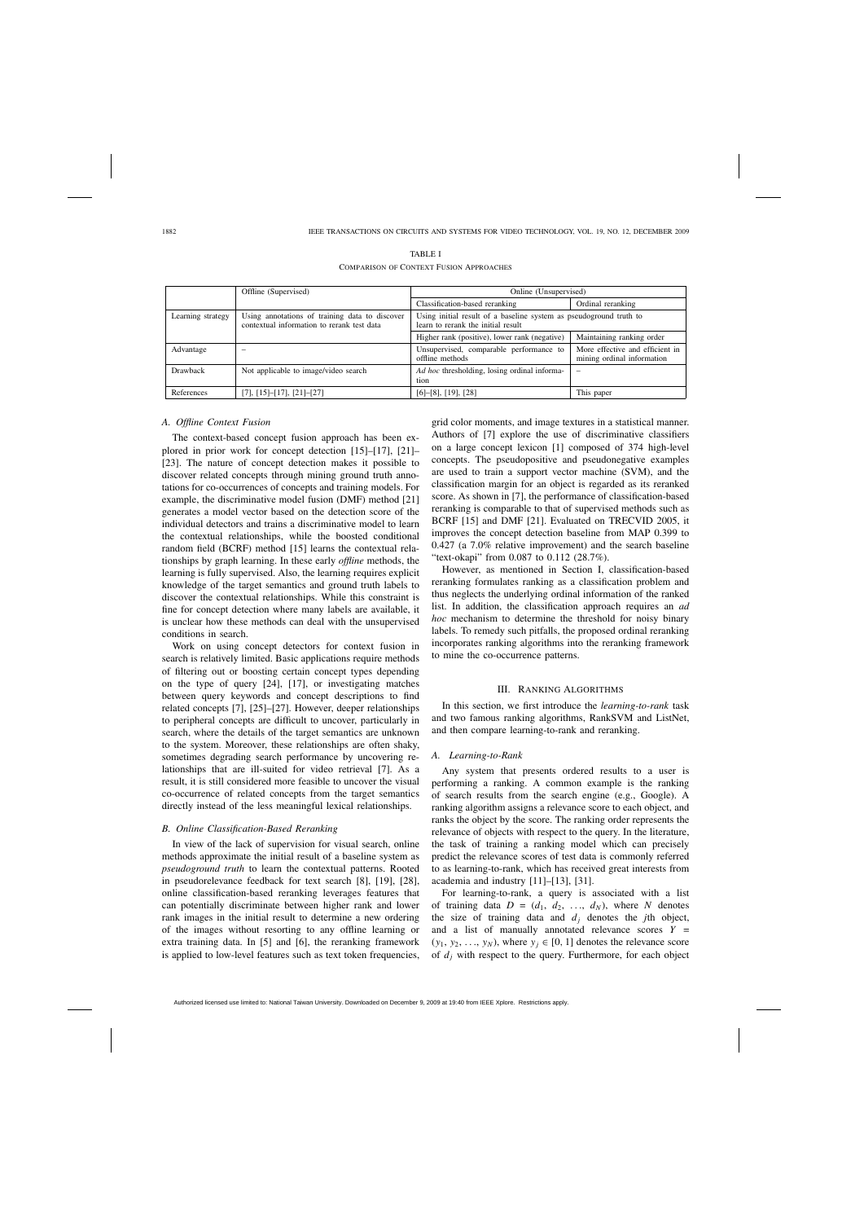Comparison of Context Fusion Approaches

|                   | Offline (Supervised)                                                                         | Online (Unsupervised)                                                                                    |                                                               |  |
|-------------------|----------------------------------------------------------------------------------------------|----------------------------------------------------------------------------------------------------------|---------------------------------------------------------------|--|
|                   |                                                                                              | Classification-based reranking                                                                           | Ordinal reranking                                             |  |
| Learning strategy | Using annotations of training data to discover<br>contextual information to rerank test data | Using initial result of a baseline system as pseudoground truth to<br>learn to rerank the initial result |                                                               |  |
|                   |                                                                                              | Higher rank (positive), lower rank (negative)                                                            | Maintaining ranking order                                     |  |
| Advantage         |                                                                                              | Unsupervised, comparable performance to<br>offline methods                                               | More effective and efficient in<br>mining ordinal information |  |
| <b>Drawback</b>   | Not applicable to image/video search                                                         | <i>Ad hoc</i> thresholding, losing ordinal informa-<br>tion                                              |                                                               |  |
| References        | [7], [15]–[17], [21]–[27]                                                                    | $[6]$ -[8], [19], [28]                                                                                   | This paper                                                    |  |

#### *A. Offline Context Fusion*

The context-based concept fusion approach has been explored in prior work for concept detection [15]–[17], [21]– [23]. The nature of concept detection makes it possible to discover related concepts through mining ground truth annotations for co-occurrences of concepts and training models. For example, the discriminative model fusion (DMF) method [21] generates a model vector based on the detection score of the individual detectors and trains a discriminative model to learn the contextual relationships, while the boosted conditional random field (BCRF) method [15] learns the contextual relationships by graph learning. In these early *offline* methods, the learning is fully supervised. Also, the learning requires explicit knowledge of the target semantics and ground truth labels to discover the contextual relationships. While this constraint is fine for concept detection where many labels are available, it is unclear how these methods can deal with the unsupervised conditions in search.

Work on using concept detectors for context fusion in search is relatively limited. Basic applications require methods of filtering out or boosting certain concept types depending on the type of query [24], [17], or investigating matches between query keywords and concept descriptions to find related concepts [7], [25]–[27]. However, deeper relationships to peripheral concepts are difficult to uncover, particularly in search, where the details of the target semantics are unknown to the system. Moreover, these relationships are often shaky, sometimes degrading search performance by uncovering relationships that are ill-suited for video retrieval [7]. As a result, it is still considered more feasible to uncover the visual co-occurrence of related concepts from the target semantics directly instead of the less meaningful lexical relationships.

#### *B. Online Classification-Based Reranking*

In view of the lack of supervision for visual search, online methods approximate the initial result of a baseline system as *pseudoground truth* to learn the contextual patterns. Rooted in pseudorelevance feedback for text search [8], [19], [28], online classification-based reranking leverages features that can potentially discriminate between higher rank and lower rank images in the initial result to determine a new ordering of the images without resorting to any offline learning or extra training data. In [5] and [6], the reranking framework is applied to low-level features such as text token frequencies,

grid color moments, and image textures in a statistical manner. Authors of [7] explore the use of discriminative classifiers on a large concept lexicon [1] composed of 374 high-level concepts. The pseudopositive and pseudonegative examples are used to train a support vector machine (SVM), and the classification margin for an object is regarded as its reranked score. As shown in [7], the performance of classification-based reranking is comparable to that of supervised methods such as BCRF [15] and DMF [21]. Evaluated on TRECVID 2005, it improves the concept detection baseline from MAP 0.399 to 0.427 (a 7.0% relative improvement) and the search baseline "text-okapi" from 0.087 to 0.112 (28.7%).

However, as mentioned in Section I, classification-based reranking formulates ranking as a classification problem and thus neglects the underlying ordinal information of the ranked list. In addition, the classification approach requires an *ad hoc* mechanism to determine the threshold for noisy binary labels. To remedy such pitfalls, the proposed ordinal reranking incorporates ranking algorithms into the reranking framework to mine the co-occurrence patterns.

#### III. Ranking Algorithms

In this section, we first introduce the *learning-to-rank* task and two famous ranking algorithms, RankSVM and ListNet, and then compare learning-to-rank and reranking.

#### *A. Learning-to-Rank*

Any system that presents ordered results to a user is performing a ranking. A common example is the ranking of search results from the search engine (e.g., Google). A ranking algorithm assigns a relevance score to each object, and ranks the object by the score. The ranking order represents the relevance of objects with respect to the query. In the literature, the task of training a ranking model which can precisely predict the relevance scores of test data is commonly referred to as learning-to-rank, which has received great interests from academia and industry  $[11]$ – $[13]$ ,  $[31]$ .

For learning-to-rank, a query is associated with a list of training data  $D = (d_1, d_2, \ldots, d_N)$ , where *N* denotes the size of training data and  $d_i$  denotes the *j*th object, and a list of manually annotated relevance scores  $Y =$  $(y_1, y_2, \ldots, y_N)$ , where  $y_i \in [0, 1]$  denotes the relevance score of *dj* with respect to the query. Furthermore, for each object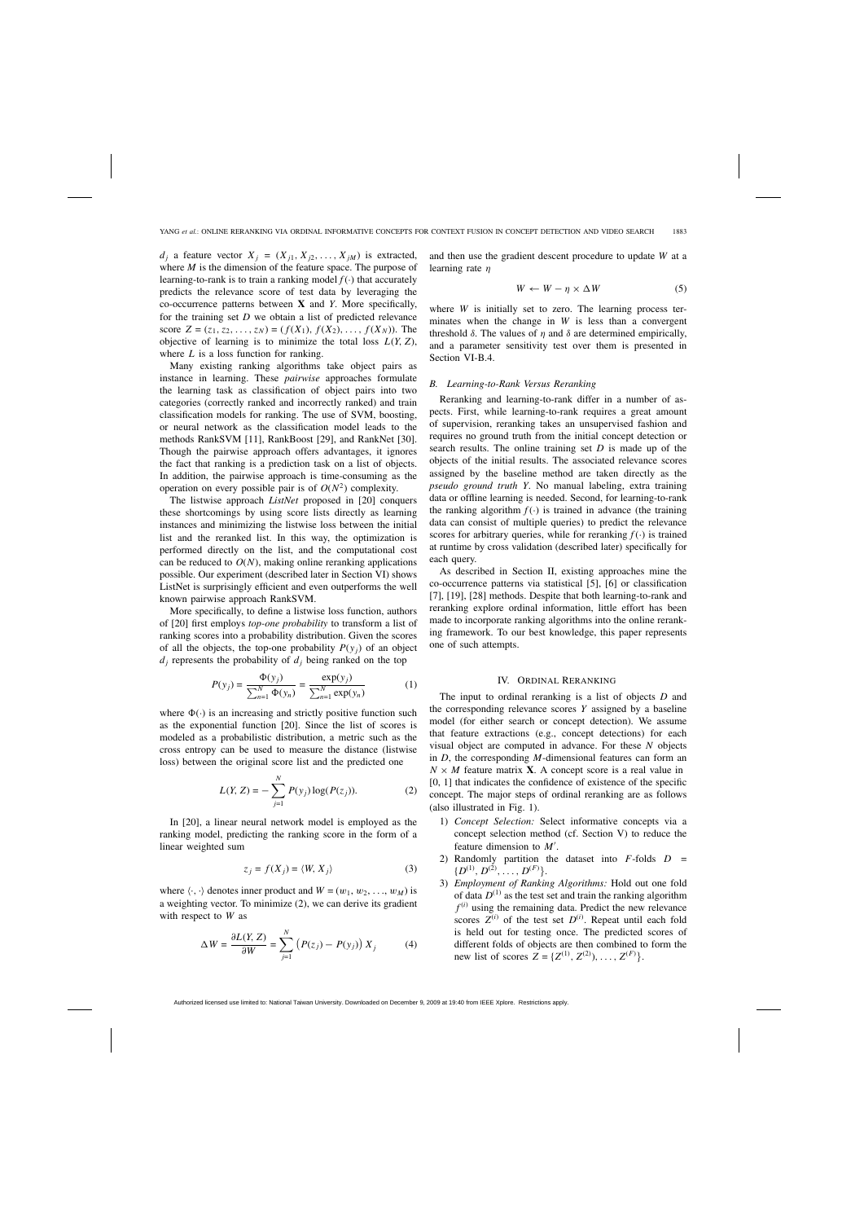$d_i$  a feature vector  $X_i = (X_{i1}, X_{i2}, \ldots, X_{iM})$  is extracted, where *M* is the dimension of the feature space. The purpose of learning-to-rank is to train a ranking model  $f(\cdot)$  that accurately predicts the relevance score of test data by leveraging the co-occurrence patterns between **X** and *Y*. More specifically, for the training set *D* we obtain a list of predicted relevance score  $Z = (z_1, z_2, \ldots, z_N) = (f(X_1), f(X_2), \ldots, f(X_N))$ . The objective of learning is to minimize the total loss *L*(*Y, Z*), where *L* is a loss function for ranking.

Many existing ranking algorithms take object pairs as instance in learning. These *pairwise* approaches formulate the learning task as classification of object pairs into two categories (correctly ranked and incorrectly ranked) and train classification models for ranking. The use of SVM, boosting, or neural network as the classification model leads to the methods RankSVM [11], RankBoost [29], and RankNet [30]. Though the pairwise approach offers advantages, it ignores the fact that ranking is a prediction task on a list of objects. In addition, the pairwise approach is time-consuming as the operation on every possible pair is of  $O(N^2)$  complexity.

The listwise approach *ListNet* proposed in [20] conquers these shortcomings by using score lists directly as learning instances and minimizing the listwise loss between the initial list and the reranked list. In this way, the optimization is performed directly on the list, and the computational cost can be reduced to  $O(N)$ , making online reranking applications possible. Our experiment (described later in Section VI) shows ListNet is surprisingly efficient and even outperforms the well known pairwise approach RankSVM.

More specifically, to define a listwise loss function, authors of [20] first employs *top-one probability* to transform a list of ranking scores into a probability distribution. Given the scores of all the objects, the top-one probability  $P(y_i)$  of an object  $d_i$  represents the probability of  $d_i$  being ranked on the top

$$
P(y_j) = \frac{\Phi(y_j)}{\sum_{n=1}^{N} \Phi(y_n)} = \frac{\exp(y_j)}{\sum_{n=1}^{N} \exp(y_n)}
$$
(1)

where  $\Phi(\cdot)$  is an increasing and strictly positive function such as the exponential function [20]. Since the list of scores is modeled as a probabilistic distribution, a metric such as the cross entropy can be used to measure the distance (listwise loss) between the original score list and the predicted one

$$
L(Y, Z) = -\sum_{j=1}^{N} P(y_j) \log(P(z_j)).
$$
 (2)

In [20], a linear neural network model is employed as the ranking model, predicting the ranking score in the form of a linear weighted sum

$$
z_j = f(X_j) = \langle W, X_j \rangle \tag{3}
$$

where  $\langle \cdot, \cdot \rangle$  denotes inner product and  $W = (w_1, w_2, \dots, w_M)$  is a weighting vector. To minimize (2), we can derive its gradient with respect to *W* as

$$
\Delta W = \frac{\partial L(Y, Z)}{\partial W} = \sum_{j=1}^{N} (P(z_j) - P(y_j)) X_j \tag{4}
$$

and then use the gradient descent procedure to update *W* at a learning rate *η*

$$
W \leftarrow W - \eta \times \Delta W \tag{5}
$$

where *W* is initially set to zero. The learning process terminates when the change in *W* is less than a convergent threshold *δ*. The values of *η* and *δ* are determined empirically, and a parameter sensitivity test over them is presented in Section VI-B.4.

# *B. Learning-to-Rank Versus Reranking*

Reranking and learning-to-rank differ in a number of aspects. First, while learning-to-rank requires a great amount of supervision, reranking takes an unsupervised fashion and requires no ground truth from the initial concept detection or search results. The online training set *D* is made up of the objects of the initial results. The associated relevance scores assigned by the baseline method are taken directly as the *pseudo ground truth Y*. No manual labeling, extra training data or offline learning is needed. Second, for learning-to-rank the ranking algorithm  $f(.)$  is trained in advance (the training data can consist of multiple queries) to predict the relevance scores for arbitrary queries, while for reranking  $f(\cdot)$  is trained at runtime by cross validation (described later) specifically for each query.

As described in Section II, existing approaches mine the co-occurrence patterns via statistical [5], [6] or classification [7], [19], [28] methods. Despite that both learning-to-rank and reranking explore ordinal information, little effort has been made to incorporate ranking algorithms into the online reranking framework. To our best knowledge, this paper represents one of such attempts.

#### IV. Ordinal Reranking

The input to ordinal reranking is a list of objects *D* and the corresponding relevance scores *Y* assigned by a baseline model (for either search or concept detection). We assume that feature extractions (e.g., concept detections) for each visual object are computed in advance. For these *N* objects in *D*, the corresponding *M*-dimensional features can form an  $N \times M$  feature matrix **X**. A concept score is a real value in [0, 1] that indicates the confidence of existence of the specific concept. The major steps of ordinal reranking are as follows (also illustrated in Fig. 1).

- 1) *Concept Selection:* Select informative concepts via a concept selection method (cf. Section V) to reduce the feature dimension to *M* .
- 2) Randomly partition the dataset into *F*-folds *D* =  $\{D^{(1)}, D^{(2)}, \ldots, D^{(F)}\}.$
- 3) *Employment of Ranking Algorithms:* Hold out one fold of data  $D^{(1)}$  as the test set and train the ranking algorithm  $f^{(i)}$  using the remaining data. Predict the new relevance scores  $Z^{(i)}$  of the test set  $D^{(i)}$ . Repeat until each fold is held out for testing once. The predicted scores of different folds of objects are then combined to form the new list of scores  $Z = \{Z^{(1)}, Z^{(2)}\}, \ldots, Z^{(F)}\}.$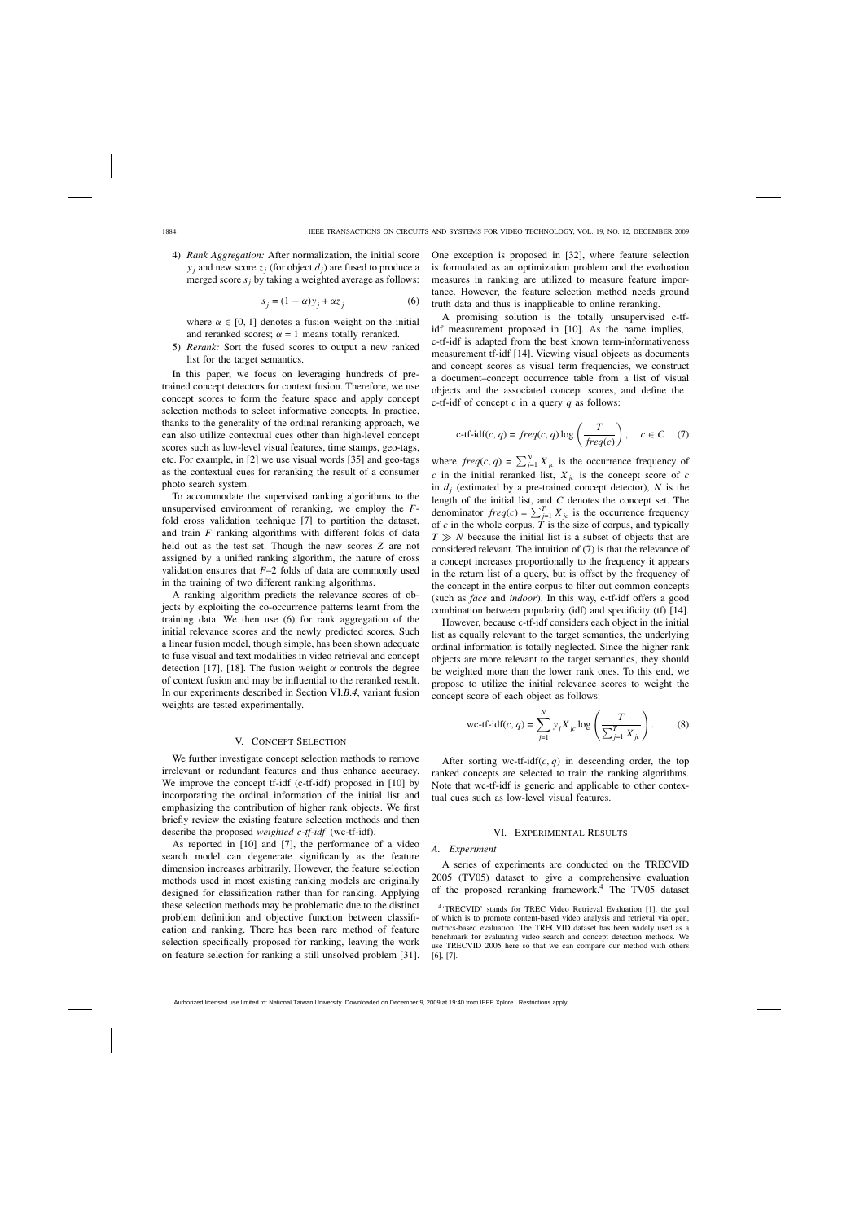4) *Rank Aggregation:* After normalization, the initial score  $y_i$  and new score  $z_i$  (for object  $d_i$ ) are fused to produce a merged score  $s_i$  by taking a weighted average as follows:

$$
s_j = (1 - \alpha)y_j + \alpha z_j \tag{6}
$$

where  $\alpha \in [0, 1]$  denotes a fusion weight on the initial and reranked scores;  $\alpha = 1$  means totally reranked.

5) *Rerank:* Sort the fused scores to output a new ranked list for the target semantics.

In this paper, we focus on leveraging hundreds of pretrained concept detectors for context fusion. Therefore, we use concept scores to form the feature space and apply concept selection methods to select informative concepts. In practice, thanks to the generality of the ordinal reranking approach, we can also utilize contextual cues other than high-level concept scores such as low-level visual features, time stamps, geo-tags, etc. For example, in [2] we use visual words [35] and geo-tags as the contextual cues for reranking the result of a consumer photo search system.

To accommodate the supervised ranking algorithms to the unsupervised environment of reranking, we employ the *F*fold cross validation technique [7] to partition the dataset, and train *F* ranking algorithms with different folds of data held out as the test set. Though the new scores *Z* are not assigned by a unified ranking algorithm, the nature of cross validation ensures that  $F-2$  folds of data are commonly used in the training of two different ranking algorithms.

A ranking algorithm predicts the relevance scores of objects by exploiting the co-occurrence patterns learnt from the training data. We then use (6) for rank aggregation of the initial relevance scores and the newly predicted scores. Such a linear fusion model, though simple, has been shown adequate to fuse visual and text modalities in video retrieval and concept detection [17], [18]. The fusion weight  $\alpha$  controls the degree of context fusion and may be influential to the reranked result. In our experiments described in Section VI.*B*.*4*, variant fusion weights are tested experimentally.

#### V. Concept Selection

We further investigate concept selection methods to remove irrelevant or redundant features and thus enhance accuracy. We improve the concept tf-idf (c-tf-idf) proposed in [10] by incorporating the ordinal information of the initial list and emphasizing the contribution of higher rank objects. We first briefly review the existing feature selection methods and then describe the proposed *weighted c-tf-idf* (wc-tf-idf).

As reported in [10] and [7], the performance of a video search model can degenerate significantly as the feature dimension increases arbitrarily. However, the feature selection methods used in most existing ranking models are originally designed for classification rather than for ranking. Applying these selection methods may be problematic due to the distinct problem definition and objective function between classification and ranking. There has been rare method of feature selection specifically proposed for ranking, leaving the work on feature selection for ranking a still unsolved problem [31]. One exception is proposed in [32], where feature selection is formulated as an optimization problem and the evaluation measures in ranking are utilized to measure feature importance. However, the feature selection method needs ground truth data and thus is inapplicable to online reranking.

A promising solution is the totally unsupervised c-tfidf measurement proposed in [10]. As the name implies, c-tf-idf is adapted from the best known term-informativeness measurement tf-idf [14]. Viewing visual objects as documents and concept scores as visual term frequencies, we construct a document–concept occurrence table from a list of visual objects and the associated concept scores, and define the c-tf-idf of concept *c* in a query *q* as follows:

c-tf-idf(c, q) = 
$$
freq(c, q) \log \left( \frac{T}{freq(c)} \right)
$$
,  $c \in C$  (7)

where  $freq(c, q) = \sum_{j=1}^{N} X_{jc}$  is the occurrence frequency of  $c$  in the initial reranked list,  $X_{ic}$  is the concept score of  $c$ in  $d_i$  (estimated by a pre-trained concept detector),  $N$  is the length of the initial list, and *C* denotes the concept set. The denominator  $freq(c) = \sum_{j=1}^{T} X_{jc}$  is the occurrence frequency of  $c$  in the whole corpus.  $\ddot{T}$  is the size of corpus, and typically  $T \gg N$  because the initial list is a subset of objects that are considered relevant. The intuition of (7) is that the relevance of a concept increases proportionally to the frequency it appears in the return list of a query, but is offset by the frequency of the concept in the entire corpus to filter out common concepts (such as *face* and *indoor*). In this way, c-tf-idf offers a good combination between popularity (idf) and specificity (tf) [14].

However, because c-tf-idf considers each object in the initial list as equally relevant to the target semantics, the underlying ordinal information is totally neglected. Since the higher rank objects are more relevant to the target semantics, they should be weighted more than the lower rank ones. To this end, we propose to utilize the initial relevance scores to weight the concept score of each object as follows:

$$
\text{wc-tf-idf}(c, q) = \sum_{j=1}^{N} y_j X_{jc} \log \left( \frac{T}{\sum_{j=1}^{T} X_{jc}} \right). \tag{8}
$$

After sorting wc-tf-idf $(c, q)$  in descending order, the top ranked concepts are selected to train the ranking algorithms. Note that wc-tf-idf is generic and applicable to other contextual cues such as low-level visual features.

# VI. Experimental Results

# *A. Experiment*

A series of experiments are conducted on the TRECVID 2005 (TV05) dataset to give a comprehensive evaluation of the proposed reranking framework.<sup>4</sup> The TV05 dataset

<sup>4&#</sup>x27;TRECVID' stands for TREC Video Retrieval Evaluation [1], the goal of which is to promote content-based video analysis and retrieval via open, metrics-based evaluation. The TRECVID dataset has been widely used as a benchmark for evaluating video search and concept detection methods. We use TRECVID 2005 here so that we can compare our method with others [6], [7].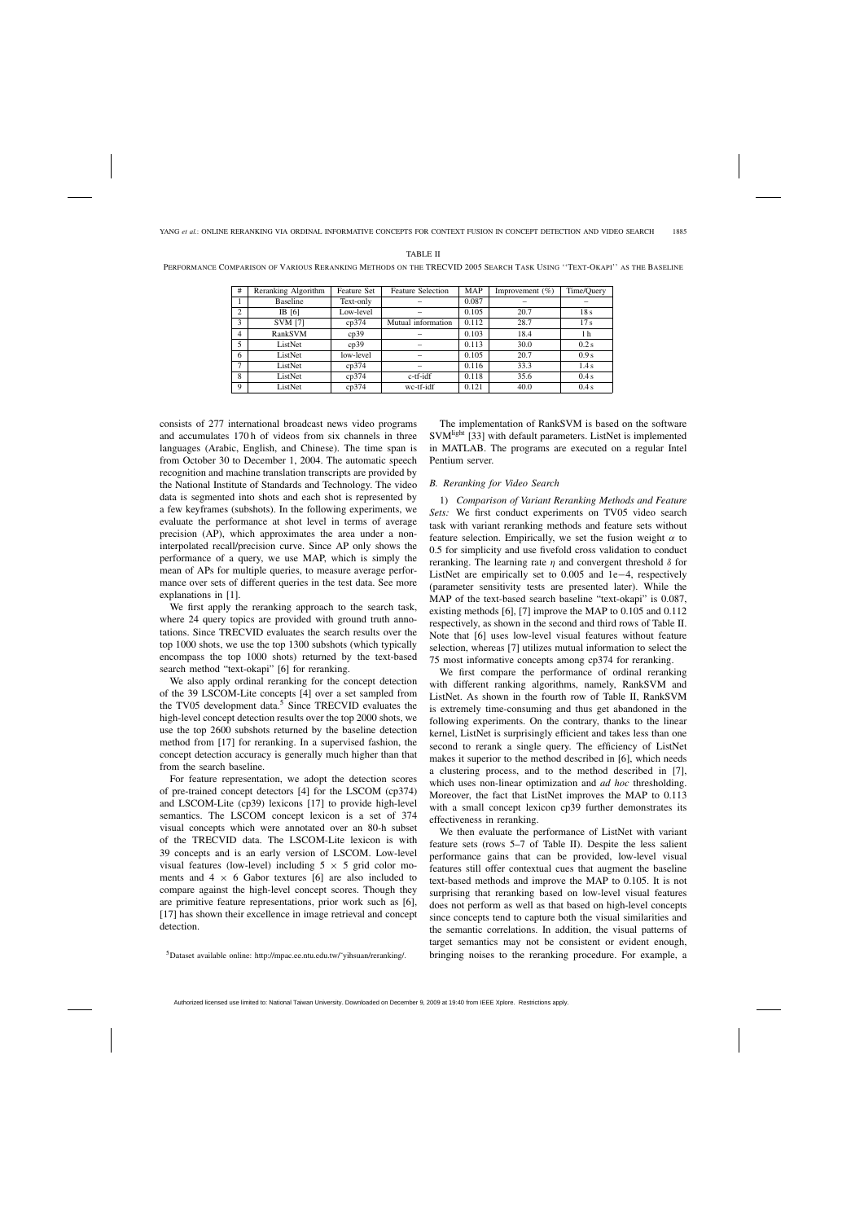#### TABLE II

Performance Comparison of Various Reranking Methods on the TRECVID 2005 Search Task Using ''Text-Okapi'' as the Baseline

| #              | Reranking Algorithm | <b>Feature Set</b> | <b>Feature Selection</b> | <b>MAP</b> | Improvement $(\% )$ | Time/Query      |
|----------------|---------------------|--------------------|--------------------------|------------|---------------------|-----------------|
|                | <b>Baseline</b>     | Text-only          |                          | 0.087      |                     |                 |
| $\overline{2}$ | IB $[6]$            | Low-level          |                          | 0.105      | 20.7                | 18 <sub>s</sub> |
| 3              | <b>SVM [7]</b>      | cp374              | Mutual information       | 0.112      | 28.7                | 17 <sub>s</sub> |
| $\overline{4}$ | RankSVM             | cp39               |                          | 0.103      | 18.4                | 1 <sub>h</sub>  |
| 5              | ListNet             | cp39               |                          | 0.113      | 30.0                | 0.2 s           |
| 6              | ListNet             | low-level          |                          | 0.105      | 20.7                | 0.9 s           |
| $\mathcal{I}$  | ListNet             | cp374              |                          | 0.116      | 33.3                | 1.4s            |
| 8              | ListNet             | cp374              | c-tf-idf                 | 0.118      | 35.6                | 0.4 s           |
| $\mathbf Q$    | ListNet             | cp374              | wc-tf-idf                | 0.121      | 40.0                | 0.4 s           |
|                |                     |                    |                          |            |                     |                 |

consists of 277 international broadcast news video programs and accumulates 170 h of videos from six channels in three languages (Arabic, English, and Chinese). The time span is from October 30 to December 1, 2004. The automatic speech recognition and machine translation transcripts are provided by the National Institute of Standards and Technology. The video data is segmented into shots and each shot is represented by a few keyframes (subshots). In the following experiments, we evaluate the performance at shot level in terms of average precision (AP), which approximates the area under a noninterpolated recall/precision curve. Since AP only shows the performance of a query, we use MAP, which is simply the mean of APs for multiple queries, to measure average performance over sets of different queries in the test data. See more explanations in [1].

We first apply the reranking approach to the search task, where 24 query topics are provided with ground truth annotations. Since TRECVID evaluates the search results over the top 1000 shots, we use the top 1300 subshots (which typically encompass the top 1000 shots) returned by the text-based search method "text-okapi" [6] for reranking.

We also apply ordinal reranking for the concept detection of the 39 LSCOM-Lite concepts [4] over a set sampled from the TV05 development data.<sup>5</sup> Since TRECVID evaluates the high-level concept detection results over the top 2000 shots, we use the top 2600 subshots returned by the baseline detection method from [17] for reranking. In a supervised fashion, the concept detection accuracy is generally much higher than that from the search baseline.

For feature representation, we adopt the detection scores of pre-trained concept detectors [4] for the LSCOM (cp374) and LSCOM-Lite (cp39) lexicons [17] to provide high-level semantics. The LSCOM concept lexicon is a set of 374 visual concepts which were annotated over an 80-h subset of the TRECVID data. The LSCOM-Lite lexicon is with 39 concepts and is an early version of LSCOM. Low-level visual features (low-level) including  $5 \times 5$  grid color moments and  $4 \times 6$  Gabor textures [6] are also included to compare against the high-level concept scores. Though they are primitive feature representations, prior work such as [6], [17] has shown their excellence in image retrieval and concept detection.

5Dataset available online: http://mpac.ee.ntu.edu.tw/˜yihsuan/reranking/.

The implementation of RankSVM is based on the software SVM<sup>light</sup> [33] with default parameters. ListNet is implemented in MATLAB. The programs are executed on a regular Intel Pentium server.

### *B. Reranking for Video Search*

1) *Comparison of Variant Reranking Methods and Feature Sets:* We first conduct experiments on TV05 video search task with variant reranking methods and feature sets without feature selection. Empirically, we set the fusion weight *α* to 0.5 for simplicity and use fivefold cross validation to conduct reranking. The learning rate *η* and convergent threshold *δ* for ListNet are empirically set to 0.005 and 1e−4, respectively (parameter sensitivity tests are presented later). While the MAP of the text-based search baseline "text-okapi" is 0.087, existing methods [6], [7] improve the MAP to 0.105 and 0.112 respectively, as shown in the second and third rows of Table II. Note that [6] uses low-level visual features without feature selection, whereas [7] utilizes mutual information to select the 75 most informative concepts among cp374 for reranking.

We first compare the performance of ordinal reranking with different ranking algorithms, namely, RankSVM and ListNet. As shown in the fourth row of Table II, RankSVM is extremely time-consuming and thus get abandoned in the following experiments. On the contrary, thanks to the linear kernel, ListNet is surprisingly efficient and takes less than one second to rerank a single query. The efficiency of ListNet makes it superior to the method described in [6], which needs a clustering process, and to the method described in [7], which uses non-linear optimization and *ad hoc* thresholding. Moreover, the fact that ListNet improves the MAP to 0.113 with a small concept lexicon cp39 further demonstrates its effectiveness in reranking.

We then evaluate the performance of ListNet with variant feature sets (rows 5–7 of Table II). Despite the less salient performance gains that can be provided, low-level visual features still offer contextual cues that augment the baseline text-based methods and improve the MAP to 0.105. It is not surprising that reranking based on low-level visual features does not perform as well as that based on high-level concepts since concepts tend to capture both the visual similarities and the semantic correlations. In addition, the visual patterns of target semantics may not be consistent or evident enough, bringing noises to the reranking procedure. For example, a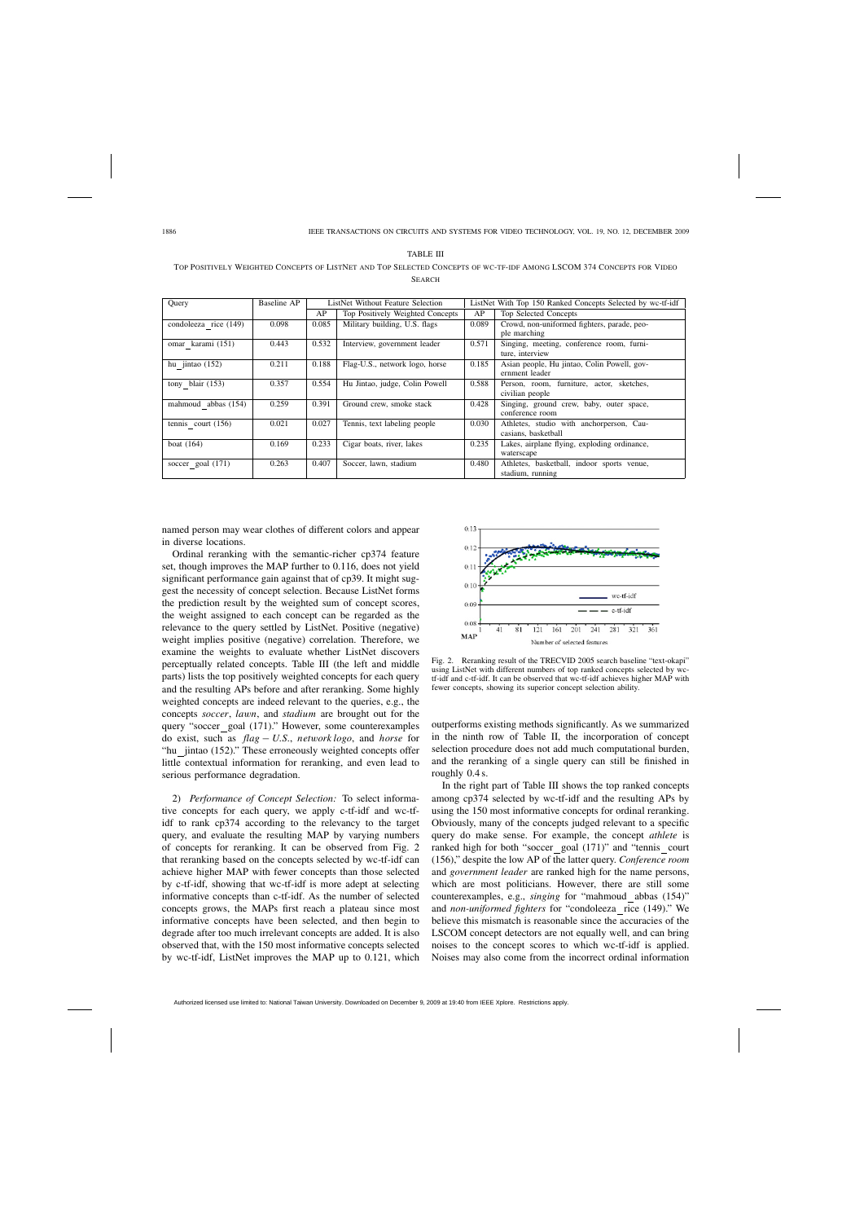| Query                 | Baseline AP | ListNet Without Feature Selection |                                  | ListNet With Top 150 Ranked Concepts Selected by wc-tf-idf |                                              |
|-----------------------|-------------|-----------------------------------|----------------------------------|------------------------------------------------------------|----------------------------------------------|
|                       |             | AP                                | Top Positively Weighted Concepts | AP                                                         | Top Selected Concepts                        |
| condoleeza rice (149) | 0.098       | 0.085                             | Military building, U.S. flags    | 0.089                                                      | Crowd, non-uniformed fighters, parade, peo-  |
|                       |             |                                   |                                  |                                                            | ple marching                                 |
| omar karami (151)     | 0.443       | 0.532                             | Interview, government leader     | 0.571                                                      | Singing, meeting, conference room, furni-    |
|                       |             |                                   |                                  |                                                            | ture, interview                              |
| hu jintao $(152)$     | 0.211       | 0.188                             | Flag-U.S., network logo, horse   | 0.185                                                      | Asian people, Hu jintao, Colin Powell, gov-  |
|                       |             |                                   |                                  |                                                            | ernment leader                               |
| tony blair $(153)$    | 0.357       | 0.554                             | Hu Jintao, judge, Colin Powell   | 0.588                                                      | Person, room, furniture, actor, sketches,    |
|                       |             |                                   |                                  |                                                            | civilian people                              |
| mahmoud abbas (154)   | 0.259       | 0.391                             | Ground crew, smoke stack         | 0.428                                                      | Singing, ground crew, baby, outer space,     |
|                       |             |                                   |                                  |                                                            | conference room                              |
| tennis court $(156)$  | 0.021       | 0.027                             | Tennis, text labeling people     | 0.030                                                      | Athletes, studio with anchorperson, Cau-     |
|                       |             |                                   |                                  |                                                            | casians, basketball                          |
| boat $(164)$          | 0.169       | 0.233                             | Cigar boats, river, lakes        | 0.235                                                      | Lakes, airplane flying, exploding ordinance, |
|                       |             |                                   |                                  |                                                            | waterscape                                   |
| soccer goal $(171)$   | 0.263       | 0.407                             | Soccer, lawn, stadium            | 0.480                                                      | Athletes, basketball, indoor sports venue,   |
|                       |             |                                   |                                  |                                                            | stadium, running                             |

TABLE III

Top Positively Weighted Concepts of ListNet and Top Selected Concepts of wc-tf-idf Among LSCOM 374 Concepts for Video **SEARCH** 

named person may wear clothes of different colors and appear in diverse locations.

Ordinal reranking with the semantic-richer cp374 feature set, though improves the MAP further to 0.116, does not yield significant performance gain against that of cp39. It might suggest the necessity of concept selection. Because ListNet forms the prediction result by the weighted sum of concept scores, the weight assigned to each concept can be regarded as the relevance to the query settled by ListNet. Positive (negative) weight implies positive (negative) correlation. Therefore, we examine the weights to evaluate whether ListNet discovers perceptually related concepts. Table III (the left and middle parts) lists the top positively weighted concepts for each query and the resulting APs before and after reranking. Some highly weighted concepts are indeed relevant to the queries, e.g., the concepts *soccer*, *lawn*, and *stadium* are brought out for the query "soccer goal (171)." However, some counterexamples do exist, such as *flag* − *U.S.*, *network logo*, and *horse* for "hu jintao (152)." These erroneously weighted concepts offer little contextual information for reranking, and even lead to serious performance degradation.

2) *Performance of Concept Selection:* To select informative concepts for each query, we apply c-tf-idf and wc-tfidf to rank cp374 according to the relevancy to the target query, and evaluate the resulting MAP by varying numbers of concepts for reranking. It can be observed from Fig. 2 that reranking based on the concepts selected by wc-tf-idf can achieve higher MAP with fewer concepts than those selected by c-tf-idf, showing that wc-tf-idf is more adept at selecting informative concepts than c-tf-idf. As the number of selected concepts grows, the MAPs first reach a plateau since most informative concepts have been selected, and then begin to degrade after too much irrelevant concepts are added. It is also observed that, with the 150 most informative concepts selected by wc-tf-idf, ListNet improves the MAP up to 0.121, which



Fig. 2. Reranking result of the TRECVID 2005 search baseline "text-okapi" using ListNet with different numbers of top ranked concepts selected by wctf-idf and c-tf-idf. It can be observed that wc-tf-idf achieves higher MAP with fewer concepts, showing its superior concept selection ability.

outperforms existing methods significantly. As we summarized in the ninth row of Table II, the incorporation of concept selection procedure does not add much computational burden, and the reranking of a single query can still be finished in roughly 0.4 s.

In the right part of Table III shows the top ranked concepts among cp374 selected by wc-tf-idf and the resulting APs by using the 150 most informative concepts for ordinal reranking. Obviously, many of the concepts judged relevant to a specific query do make sense. For example, the concept *athlete* is ranked high for both "soccer goal (171)" and "tennis court (156)," despite the low AP of the latter query. *Conference room* and *government leader* are ranked high for the name persons, which are most politicians. However, there are still some counterexamples, e.g., *singing* for "mahmoud abbas (154)" and *non-uniformed fighters* for "condoleeza rice (149)." We believe this mismatch is reasonable since the accuracies of the LSCOM concept detectors are not equally well, and can bring noises to the concept scores to which wc-tf-idf is applied. Noises may also come from the incorrect ordinal information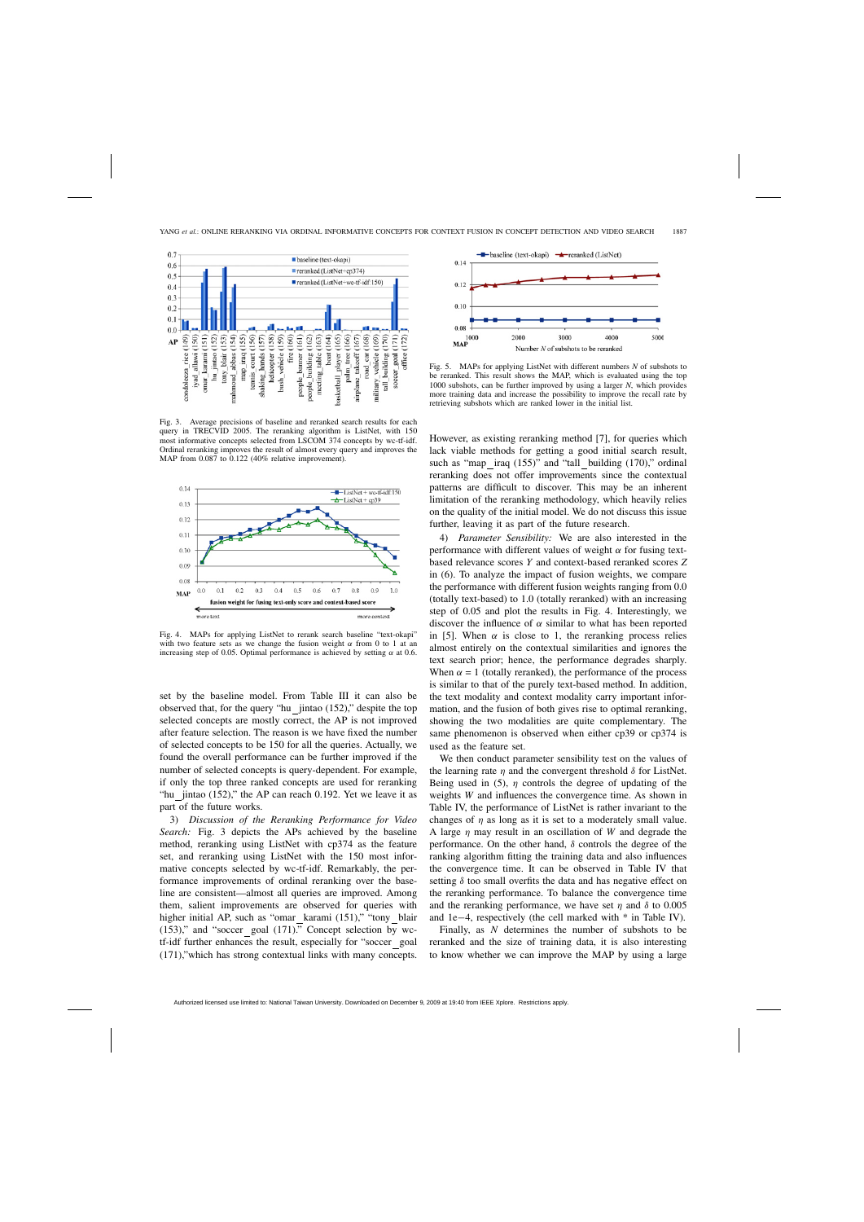

Fig. 3. Average precisions of baseline and reranked search results for each query in TRECVID 2005. The reranking algorithm is ListNet, with 150 most informative concepts selected from LSCOM 374 concepts by wc-tf-idf. Ordinal reranking improves the result of almost every query and improves the MAP from 0.087 to 0.122 (40% relative improvement).



Fig. 4. MAPs for applying ListNet to rerank search baseline "text-okapi" with two feature sets as we change the fusion weight *α* from 0 to 1 at an increasing step of 0.05. Optimal performance is achieved by setting *α* at 0.6.

set by the baseline model. From Table III it can also be observed that, for the query "hu jintao (152)," despite the top selected concepts are mostly correct, the AP is not improved after feature selection. The reason is we have fixed the number of selected concepts to be 150 for all the queries. Actually, we found the overall performance can be further improved if the number of selected concepts is query-dependent. For example, if only the top three ranked concepts are used for reranking "hu jintao (152)," the AP can reach 0.192. Yet we leave it as part of the future works.

3) *Discussion of the Reranking Performance for Video Search:* Fig. 3 depicts the APs achieved by the baseline method, reranking using ListNet with cp374 as the feature set, and reranking using ListNet with the 150 most informative concepts selected by wc-tf-idf. Remarkably, the performance improvements of ordinal reranking over the baseline are consistent—almost all queries are improved. Among them, salient improvements are observed for queries with higher initial AP, such as "omar karami (151)," "tony blair (153)," and "soccer goal (171)." Concept selection by wctf-idf further enhances the result, especially for "soccer goal (171),"which has strong contextual links with many concepts.



Fig. 5. MAPs for applying ListNet with different numbers *N* of subshots to be reranked. This result shows the MAP, which is evaluated using the top 1000 subshots, can be further improved by using a larger *N*, which provides more training data and increase the possibility to improve the recall rate by retrieving subshots which are ranked lower in the initial list.

However, as existing reranking method [7], for queries which lack viable methods for getting a good initial search result, such as "map iraq (155)" and "tall building (170)," ordinal reranking does not offer improvements since the contextual patterns are difficult to discover. This may be an inherent limitation of the reranking methodology, which heavily relies on the quality of the initial model. We do not discuss this issue further, leaving it as part of the future research.

4) *Parameter Sensibility:* We are also interested in the performance with different values of weight *α* for fusing textbased relevance scores *Y* and context-based reranked scores *Z* in (6). To analyze the impact of fusion weights, we compare the performance with different fusion weights ranging from 0.0 (totally text-based) to 1.0 (totally reranked) with an increasing step of 0.05 and plot the results in Fig. 4. Interestingly, we discover the influence of *α* similar to what has been reported in [5]. When  $\alpha$  is close to 1, the reranking process relies almost entirely on the contextual similarities and ignores the text search prior; hence, the performance degrades sharply. When  $\alpha = 1$  (totally reranked), the performance of the process is similar to that of the purely text-based method. In addition, the text modality and context modality carry important information, and the fusion of both gives rise to optimal reranking, showing the two modalities are quite complementary. The same phenomenon is observed when either cp39 or cp374 is used as the feature set.

We then conduct parameter sensibility test on the values of the learning rate  $\eta$  and the convergent threshold  $\delta$  for ListNet. Being used in (5), *η* controls the degree of updating of the weights *W* and influences the convergence time. As shown in Table IV, the performance of ListNet is rather invariant to the changes of *η* as long as it is set to a moderately small value. A large *η* may result in an oscillation of *W* and degrade the performance. On the other hand, *δ* controls the degree of the ranking algorithm fitting the training data and also influences the convergence time. It can be observed in Table IV that setting  $\delta$  too small overfits the data and has negative effect on the reranking performance. To balance the convergence time and the reranking performance, we have set  $\eta$  and  $\delta$  to 0.005 and 1e−4, respectively (the cell marked with \* in Table IV).

Finally, as *N* determines the number of subshots to be reranked and the size of training data, it is also interesting to know whether we can improve the MAP by using a large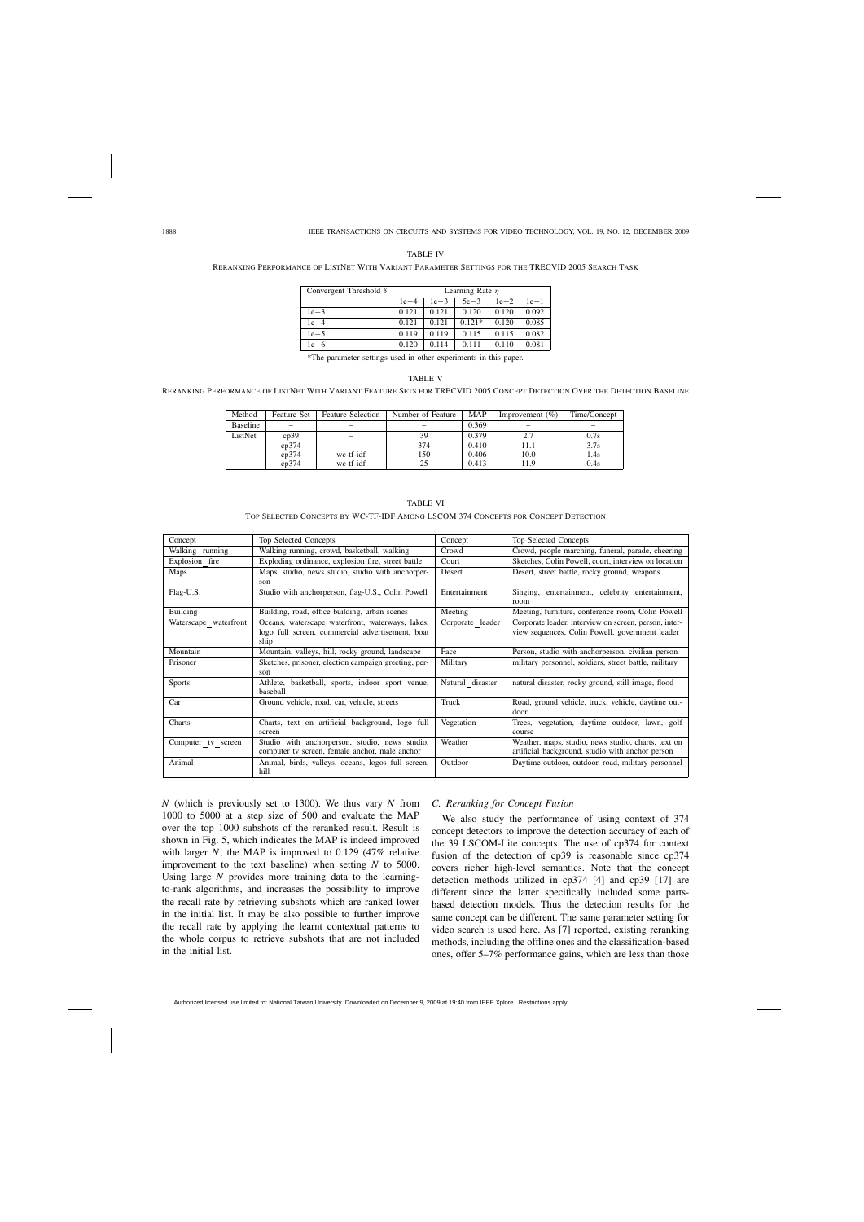#### TABLE IV

Reranking Performance of ListNet With Variant Parameter Settings for the TRECVID 2005 Search Task

| Convergent Threshold $\delta$ | Learning Rate $\eta$ |        |          |        |        |  |
|-------------------------------|----------------------|--------|----------|--------|--------|--|
|                               | $1e-4$               | $1e-3$ | $5e-3$   | $1e-2$ | $1e-1$ |  |
| $1e-3$                        | 0.121                | 0.121  | 0.120    | 0.120  | 0.092  |  |
| $1e-4$                        | 0.121                | 0.121  | $0.121*$ | 0.120  | 0.085  |  |
| $1e-5$                        | 0.119                | 0.119  | 0.115    | 0.115  | 0.082  |  |
| $1e-6$                        | 0.120                | 0.114  | 0.111    | 0.110  | 0.081  |  |

\*The parameter settings used in other experiments in this paper.

TABLE V

Reranking Performance of ListNet With Variant Feature Sets for TRECVID 2005 Concept Detection Over the Detection Baseline

| Method          | <b>Feature Set</b> | <b>Feature Selection</b> | Number of Feature | MAP   | Improvement $(\% )$ | Time/Concept |
|-----------------|--------------------|--------------------------|-------------------|-------|---------------------|--------------|
| <b>Baseline</b> |                    |                          |                   | 0.369 | -                   |              |
| ListNet         | cp39               |                          | 39                | 0.379 | 2.7                 | 0.7s         |
|                 | cn374              |                          | 374               | 0.410 | 11.1                | 3.7s         |
|                 | cn374              | wc-tf-idf                | 150               | 0.406 | 10.0                | 1.4s         |
|                 | cn374              | wc-tf-idf                | 25                | 0.413 | l 1.9               | 0.4s         |

| Concept               | <b>Top Selected Concepts</b>                                 | Concept          | <b>Top Selected Concepts</b>                                |
|-----------------------|--------------------------------------------------------------|------------------|-------------------------------------------------------------|
| Walking running       | Walking running, crowd, basketball, walking                  | Crowd            | Crowd, people marching, funeral, parade, cheering           |
| Explosion fire        | Exploding ordinance, explosion fire, street battle           | Court            | Sketches, Colin Powell, court, interview on location        |
| Maps                  | Maps, studio, news studio, studio with anchorper-            | Desert           | Desert, street battle, rocky ground, weapons                |
|                       | son                                                          |                  |                                                             |
| Flag-U.S.             | Studio with anchorperson, flag-U.S., Colin Powell            | Entertainment    | entertainment, celebrity entertainment,<br>Singing,<br>room |
| Building              | Building, road, office building, urban scenes                | Meeting          | Meeting, furniture, conference room, Colin Powell           |
| Waterscape waterfront | Oceans, waterscape waterfront, waterways, lakes,             | Corporate leader | Corporate leader, interview on screen, person, inter-       |
|                       | logo full screen, commercial advertisement, boat<br>ship     |                  | view sequences, Colin Powell, government leader             |
| Mountain              | Mountain, valleys, hill, rocky ground, landscape             | Face             | Person, studio with anchorperson, civilian person           |
| Prisoner              | Sketches, prisoner, election campaign greeting, per-<br>son  | Military         | military personnel, soldiers, street battle, military       |
| <b>Sports</b>         | Athlete, basketball, sports, indoor sport venue,<br>baseball | Natural disaster | natural disaster, rocky ground, still image, flood          |
| Car                   | Ground vehicle, road, car, vehicle, streets                  | Truck            | Road, ground vehicle, truck, vehicle, daytime out-<br>door  |
| Charts                | Charts, text on artificial background, logo full             | Vegetation       | Trees, vegetation, daytime outdoor, lawn, golf              |
|                       | screen                                                       |                  | course                                                      |
| Computer tv screen    | Studio with anchorperson, studio, news studio,               | Weather          | Weather, maps, studio, news studio, charts, text on         |
|                       | computer tv screen, female anchor, male anchor               |                  | artificial background, studio with anchor person            |
| Animal                | Animal, birds, valleys, oceans, logos full screen,           | Outdoor          | Daytime outdoor, outdoor, road, military personnel          |
|                       | hill                                                         |                  |                                                             |

TABLE VI

Top Selected Concepts by WC-TF-IDF Among LSCOM 374 Concepts for Concept Detection

*N* (which is previously set to 1300). We thus vary *N* from 1000 to 5000 at a step size of 500 and evaluate the MAP over the top 1000 subshots of the reranked result. Result is shown in Fig. 5, which indicates the MAP is indeed improved with larger  $N$ ; the MAP is improved to 0.129 (47% relative improvement to the text baseline) when setting *N* to 5000. Using large *N* provides more training data to the learningto-rank algorithms, and increases the possibility to improve the recall rate by retrieving subshots which are ranked lower in the initial list. It may be also possible to further improve the recall rate by applying the learnt contextual patterns to the whole corpus to retrieve subshots that are not included in the initial list.

#### *C. Reranking for Concept Fusion*

We also study the performance of using context of 374 concept detectors to improve the detection accuracy of each of the 39 LSCOM-Lite concepts. The use of cp374 for context fusion of the detection of cp39 is reasonable since cp374 covers richer high-level semantics. Note that the concept detection methods utilized in cp374 [4] and cp39 [17] are different since the latter specifically included some partsbased detection models. Thus the detection results for the same concept can be different. The same parameter setting for video search is used here. As [7] reported, existing reranking methods, including the offline ones and the classification-based ones, offer 5–7% performance gains, which are less than those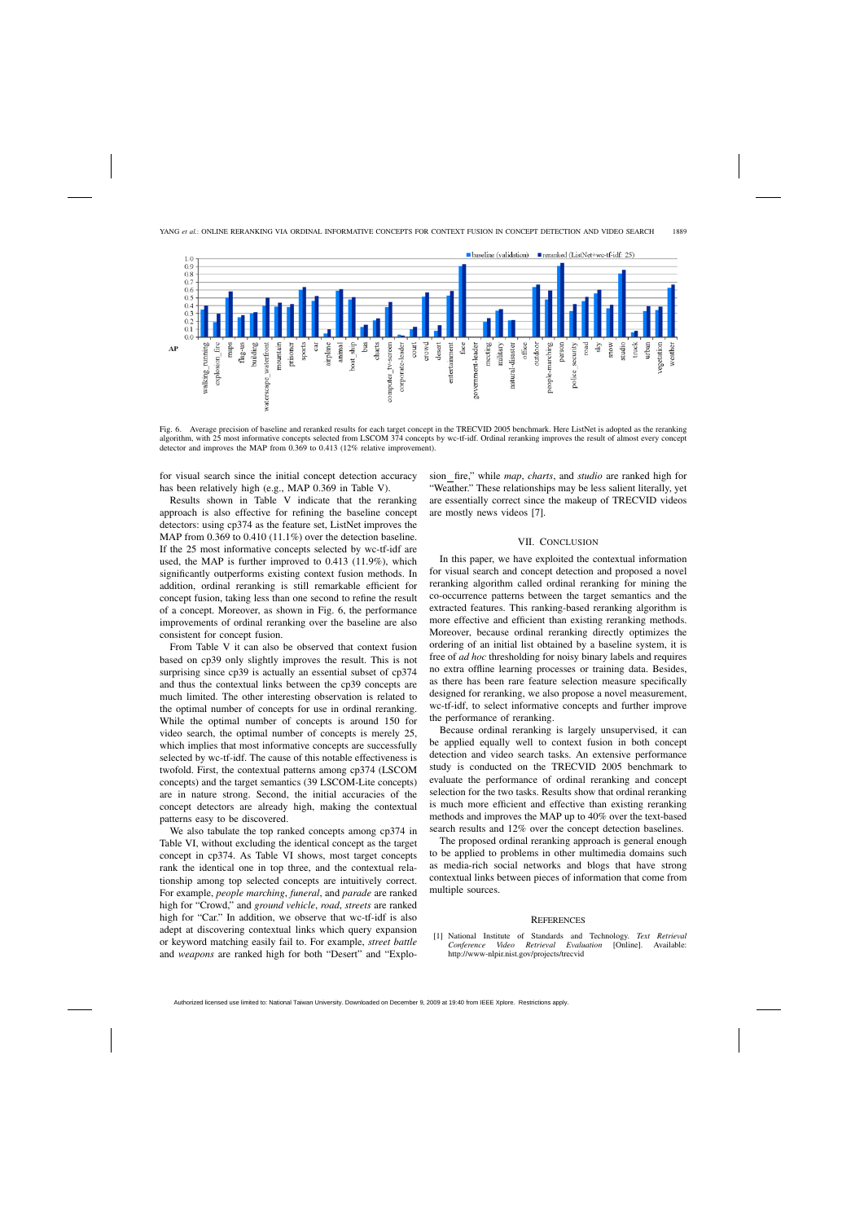

Fig. 6. Average precision of baseline and reranked results for each target concept in the TRECVID 2005 benchmark. Here ListNet is adopted as the reranking algorithm, with 25 most informative concepts selected from LSCOM 374 concepts by wc-tf-idf. Ordinal reranking improves the result of almost every concept detector and improves the MAP from 0.369 to 0.413 (12% relative improvement).

for visual search since the initial concept detection accuracy has been relatively high (e.g., MAP 0.369 in Table V).

Results shown in Table V indicate that the reranking approach is also effective for refining the baseline concept detectors: using cp374 as the feature set, ListNet improves the MAP from 0.369 to 0.410 (11.1%) over the detection baseline. If the 25 most informative concepts selected by wc-tf-idf are used, the MAP is further improved to 0.413 (11.9%), which significantly outperforms existing context fusion methods. In addition, ordinal reranking is still remarkable efficient for concept fusion, taking less than one second to refine the result of a concept. Moreover, as shown in Fig. 6, the performance improvements of ordinal reranking over the baseline are also consistent for concept fusion.

From Table V it can also be observed that context fusion based on cp39 only slightly improves the result. This is not surprising since cp39 is actually an essential subset of cp374 and thus the contextual links between the cp39 concepts are much limited. The other interesting observation is related to the optimal number of concepts for use in ordinal reranking. While the optimal number of concepts is around 150 for video search, the optimal number of concepts is merely 25, which implies that most informative concepts are successfully selected by wc-tf-idf. The cause of this notable effectiveness is twofold. First, the contextual patterns among cp374 (LSCOM concepts) and the target semantics (39 LSCOM-Lite concepts) are in nature strong. Second, the initial accuracies of the concept detectors are already high, making the contextual patterns easy to be discovered.

We also tabulate the top ranked concepts among cp374 in Table VI, without excluding the identical concept as the target concept in cp374. As Table VI shows, most target concepts rank the identical one in top three, and the contextual relationship among top selected concepts are intuitively correct. For example, *people marching*, *funeral*, and *parade* are ranked high for "Crowd," and *ground vehicle*, *road*, *streets* are ranked high for "Car." In addition, we observe that wc-tf-idf is also adept at discovering contextual links which query expansion or keyword matching easily fail to. For example, *street battle* and *weapons* are ranked high for both "Desert" and "Explosion fire," while *map*, *charts*, and *studio* are ranked high for "Weather." These relationships may be less salient literally, yet are essentially correct since the makeup of TRECVID videos are mostly news videos [7].

# VII. CONCLUSION

In this paper, we have exploited the contextual information for visual search and concept detection and proposed a novel reranking algorithm called ordinal reranking for mining the co-occurrence patterns between the target semantics and the extracted features. This ranking-based reranking algorithm is more effective and efficient than existing reranking methods. Moreover, because ordinal reranking directly optimizes the ordering of an initial list obtained by a baseline system, it is free of *ad hoc* thresholding for noisy binary labels and requires no extra offline learning processes or training data. Besides, as there has been rare feature selection measure specifically designed for reranking, we also propose a novel measurement, wc-tf-idf, to select informative concepts and further improve the performance of reranking.

Because ordinal reranking is largely unsupervised, it can be applied equally well to context fusion in both concept detection and video search tasks. An extensive performance study is conducted on the TRECVID 2005 benchmark to evaluate the performance of ordinal reranking and concept selection for the two tasks. Results show that ordinal reranking is much more efficient and effective than existing reranking methods and improves the MAP up to 40% over the text-based search results and 12% over the concept detection baselines.

The proposed ordinal reranking approach is general enough to be applied to problems in other multimedia domains such as media-rich social networks and blogs that have strong contextual links between pieces of information that come from multiple sources.

#### **REFERENCES**

[1] National Institute of Standards and Technology. *Text Retrieval Conference Video Retrieval Evaluation* [Online]. Available: http://www-nlpir.nist.gov/projects/trecvid